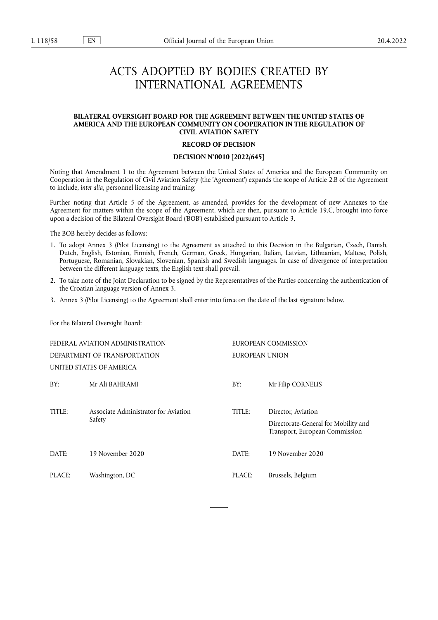# ACTS ADOPTED BY BODIES CREATED BY INTERNATIONAL AGREEMENTS

# **BILATERAL OVERSIGHT BOARD FOR THE AGREEMENT BETWEEN THE UNITED STATES OF AMERICA AND THE EUROPEAN COMMUNITY ON COOPERATION IN THE REGULATION OF CIVIL AVIATION SAFETY**

## **RECORD OF DECISION**

# **DECISION N°0010 [2022/645]**

Noting that Amendment 1 to the Agreement between the United States of America and the European Community on Cooperation in the Regulation of Civil Aviation Safety (the 'Agreement') expands the scope of Article 2.B of the Agreement to include, *inter alia*, personnel licensing and training;

Further noting that Article 5 of the Agreement, as amended, provides for the development of new Annexes to the Agreement for matters within the scope of the Agreement, which are then, pursuant to Article 19.C, brought into force upon a decision of the Bilateral Oversight Board ('BOB') established pursuant to Article 3,

The BOB hereby decides as follows:

- 1. To adopt Annex 3 (Pilot Licensing) to the Agreement as attached to this Decision in the Bulgarian, Czech, Danish, Dutch, English, Estonian, Finnish, French, German, Greek, Hungarian, Italian, Latvian, Lithuanian, Maltese, Polish, Portuguese, Romanian, Slovakian, Slovenian, Spanish and Swedish languages. In case of divergence of interpretation between the different language texts, the English text shall prevail.
- 2. To take note of the Joint Declaration to be signed by the Representatives of the Parties concerning the authentication of the Croatian language version of Annex 3.
- 3. Annex 3 (Pilot Licensing) to the Agreement shall enter into force on the date of the last signature below.

For the Bilateral Oversight Board:

FEDERAL AVIATION ADMINISTRATION DEPARTMENT OF TRANSPORTATION UNITED STATES OF AMERICA EUROPEAN COMMISSION EUROPEAN UNION BY: Mr Ali BAHRAMI BY: Mr Filip CORNELIS TITLE: Associate Administrator for Aviation Safety TITLE: Director, Aviation Directorate-General for Mobility and Transport, European Commission DATE: 19 November 2020 DATE: 19 November 2020 PLACE: Washington, DC PLACE: Brussels, Belgium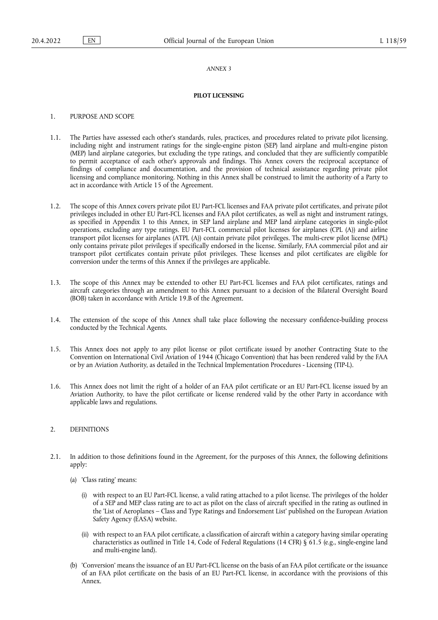#### *ANNEX 3*

# **PILOT LICENSING**

# 1. PURPOSE AND SCOPE

- 1.1. The Parties have assessed each other's standards, rules, practices, and procedures related to private pilot licensing, including night and instrument ratings for the single-engine piston (SEP) land airplane and multi-engine piston (MEP) land airplane categories, but excluding the type ratings, and concluded that they are sufficiently compatible to permit acceptance of each other's approvals and findings. This Annex covers the reciprocal acceptance of findings of compliance and documentation, and the provision of technical assistance regarding private pilot licensing and compliance monitoring. Nothing in this Annex shall be construed to limit the authority of a Party to act in accordance with Article 15 of the Agreement.
- 1.2. The scope of this Annex covers private pilot EU Part-FCL licenses and FAA private pilot certificates, and private pilot privileges included in other EU Part-FCL licenses and FAA pilot certificates, as well as night and instrument ratings, as specified in Appendix 1 to this Annex, in SEP land airplane and MEP land airplane categories in single-pilot operations, excluding any type ratings. EU Part-FCL commercial pilot licenses for airplanes (CPL (A)) and airline transport pilot licenses for airplanes (ATPL (A)) contain private pilot privileges. The multi-crew pilot license (MPL) only contains private pilot privileges if specifically endorsed in the license. Similarly, FAA commercial pilot and air transport pilot certificates contain private pilot privileges. These licenses and pilot certificates are eligible for conversion under the terms of this Annex if the privileges are applicable.
- 1.3. The scope of this Annex may be extended to other EU Part-FCL licenses and FAA pilot certificates, ratings and aircraft categories through an amendment to this Annex pursuant to a decision of the Bilateral Oversight Board (BOB) taken in accordance with Article 19.B of the Agreement.
- 1.4. The extension of the scope of this Annex shall take place following the necessary confidence-building process conducted by the Technical Agents.
- 1.5. This Annex does not apply to any pilot license or pilot certificate issued by another Contracting State to the Convention on International Civil Aviation of 1944 (Chicago Convention) that has been rendered valid by the FAA or by an Aviation Authority, as detailed in the Technical Implementation Procedures - Licensing (TIP-L).
- 1.6. This Annex does not limit the right of a holder of an FAA pilot certificate or an EU Part-FCL license issued by an Aviation Authority, to have the pilot certificate or license rendered valid by the other Party in accordance with applicable laws and regulations.

# 2. DEFINITIONS

- 2.1. In addition to those definitions found in the Agreement, for the purposes of this Annex, the following definitions apply:
	- (a) 'Class rating' means:
		- (i) with respect to an EU Part-FCL license, a valid rating attached to a pilot license. The privileges of the holder of a SEP and MEP class rating are to act as pilot on the class of aircraft specified in the rating as outlined in the 'List of Aeroplanes – Class and Type Ratings and Endorsement List' published on the European Aviation Safety Agency (EASA) website.
		- (ii) with respect to an FAA pilot certificate, a classification of aircraft within a category having similar operating characteristics as outlined in Title 14, Code of Federal Regulations (14 CFR) § 61.5 (e.g., single-engine land and multi-engine land).
	- (b) 'Conversion' means the issuance of an EU Part-FCL license on the basis of an FAA pilot certificate or the issuance of an FAA pilot certificate on the basis of an EU Part-FCL license, in accordance with the provisions of this Annex.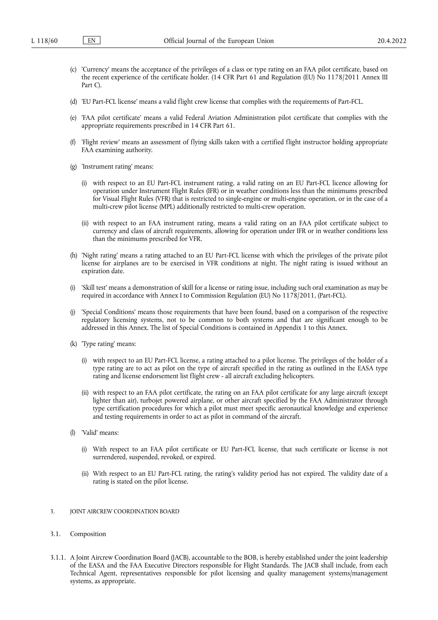- (c) 'Currency' means the acceptance of the privileges of a class or type rating on an FAA pilot certificate, based on the recent experience of the certificate holder. (14 CFR Part 61 and Regulation (EU) No 1178/2011 Annex III Part C).
- (d) 'EU Part-FCL license' means a valid flight crew license that complies with the requirements of Part-FCL.
- (e) 'FAA pilot certificate' means a valid Federal Aviation Administration pilot certificate that complies with the appropriate requirements prescribed in 14 CFR Part 61.
- (f) 'Flight review' means an assessment of flying skills taken with a certified flight instructor holding appropriate FAA examining authority.
- (g) 'Instrument rating' means:
	- (i) with respect to an EU Part-FCL instrument rating, a valid rating on an EU Part-FCL licence allowing for operation under Instrument Flight Rules (IFR) or in weather conditions less than the minimums prescribed for Visual Flight Rules (VFR) that is restricted to single-engine or multi-engine operation, or in the case of a multi-crew pilot license (MPL) additionally restricted to multi-crew operation.
	- (ii) with respect to an FAA instrument rating, means a valid rating on an FAA pilot certificate subject to currency and class of aircraft requirements, allowing for operation under IFR or in weather conditions less than the minimums prescribed for VFR.
- (h) 'Night rating' means a rating attached to an EU Part-FCL license with which the privileges of the private pilot license for airplanes are to be exercised in VFR conditions at night. The night rating is issued without an expiration date.
- (i) 'Skill test' means a demonstration of skill for a license or rating issue, including such oral examination as may be required in accordance with Annex I to Commission Regulation (EU) No 1178/2011, (Part-FCL).
- 'Special Conditions' means those requirements that have been found, based on a comparison of the respective regulatory licensing systems, not to be common to both systems and that are significant enough to be addressed in this Annex. The list of Special Conditions is contained in Appendix 1 to this Annex.
- (k) 'Type rating' means:
	- (i) with respect to an EU Part-FCL license, a rating attached to a pilot license. The privileges of the holder of a type rating are to act as pilot on the type of aircraft specified in the rating as outlined in the EASA type rating and license endorsement list flight crew - all aircraft excluding helicopters.
	- (ii) with respect to an FAA pilot certificate, the rating on an FAA pilot certificate for any large aircraft (except lighter than air), turbojet powered airplane, or other aircraft specified by the FAA Administrator through type certification procedures for which a pilot must meet specific aeronautical knowledge and experience and testing requirements in order to act as pilot in command of the aircraft.
- (l) 'Valid' means:
	- (i) With respect to an FAA pilot certificate or EU Part-FCL license, that such certificate or license is not surrendered, suspended, revoked, or expired.
	- (ii) With respect to an EU Part-FCL rating, the rating's validity period has not expired. The validity date of a rating is stated on the pilot license.
- 3. JOINT AIRCREW COORDINATION BOARD
- 3.1. Composition
- 3.1.1. A Joint Aircrew Coordination Board (JACB), accountable to the BOB, is hereby established under the joint leadership of the EASA and the FAA Executive Directors responsible for Flight Standards. The JACB shall include, from each Technical Agent, representatives responsible for pilot licensing and quality management systems/management systems, as appropriate.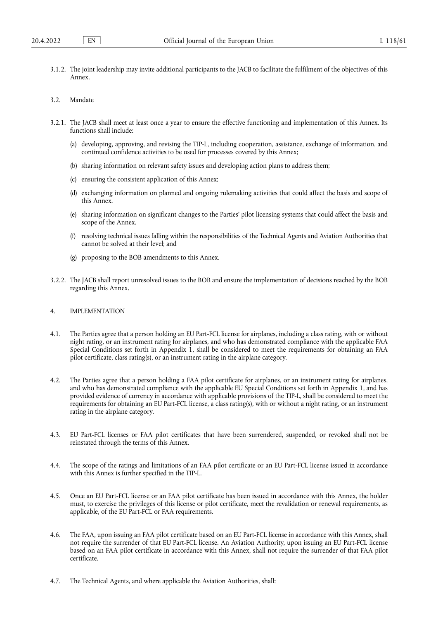3.1.2. The joint leadership may invite additional participants to the JACB to facilitate the fulfilment of the objectives of this Annex.

## 3.2. Mandate

- 3.2.1. The JACB shall meet at least once a year to ensure the effective functioning and implementation of this Annex. Its functions shall include:
	- (a) developing, approving, and revising the TIP-L, including cooperation, assistance, exchange of information, and continued confidence activities to be used for processes covered by this Annex;
	- (b) sharing information on relevant safety issues and developing action plans to address them;
	- (c) ensuring the consistent application of this Annex;
	- (d) exchanging information on planned and ongoing rulemaking activities that could affect the basis and scope of this Annex.
	- (e) sharing information on significant changes to the Parties' pilot licensing systems that could affect the basis and scope of the Annex.
	- (f) resolving technical issues falling within the responsibilities of the Technical Agents and Aviation Authorities that cannot be solved at their level; and
	- (g) proposing to the BOB amendments to this Annex.
- 3.2.2. The JACB shall report unresolved issues to the BOB and ensure the implementation of decisions reached by the BOB regarding this Annex.

# 4. IMPLEMENTATION

- 4.1. The Parties agree that a person holding an EU Part-FCL license for airplanes, including a class rating, with or without night rating, or an instrument rating for airplanes, and who has demonstrated compliance with the applicable FAA Special Conditions set forth in Appendix 1, shall be considered to meet the requirements for obtaining an FAA pilot certificate, class rating(s), or an instrument rating in the airplane category.
- 4.2. The Parties agree that a person holding a FAA pilot certificate for airplanes, or an instrument rating for airplanes, and who has demonstrated compliance with the applicable EU Special Conditions set forth in Appendix 1, and has provided evidence of currency in accordance with applicable provisions of the TIP-L, shall be considered to meet the requirements for obtaining an EU Part-FCL license, a class rating(s), with or without a night rating, or an instrument rating in the airplane category.
- 4.3. EU Part-FCL licenses or FAA pilot certificates that have been surrendered, suspended, or revoked shall not be reinstated through the terms of this Annex.
- 4.4. The scope of the ratings and limitations of an FAA pilot certificate or an EU Part-FCL license issued in accordance with this Annex is further specified in the TIP-L.
- 4.5. Once an EU Part-FCL license or an FAA pilot certificate has been issued in accordance with this Annex, the holder must, to exercise the privileges of this license or pilot certificate, meet the revalidation or renewal requirements, as applicable, of the EU Part-FCL or FAA requirements.
- 4.6. The FAA, upon issuing an FAA pilot certificate based on an EU Part-FCL license in accordance with this Annex, shall not require the surrender of that EU Part-FCL license. An Aviation Authority, upon issuing an EU Part-FCL license based on an FAA pilot certificate in accordance with this Annex, shall not require the surrender of that FAA pilot certificate.
- 4.7. The Technical Agents, and where applicable the Aviation Authorities, shall: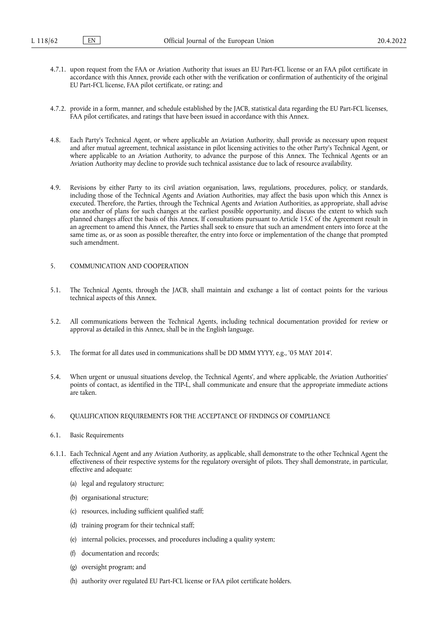- 4.7.1. upon request from the FAA or Aviation Authority that issues an EU Part-FCL license or an FAA pilot certificate in accordance with this Annex, provide each other with the verification or confirmation of authenticity of the original EU Part-FCL license, FAA pilot certificate, or rating; and
- 4.7.2. provide in a form, manner, and schedule established by the JACB, statistical data regarding the EU Part-FCL licenses, FAA pilot certificates, and ratings that have been issued in accordance with this Annex.
- 4.8. Each Party's Technical Agent, or where applicable an Aviation Authority, shall provide as necessary upon request and after mutual agreement, technical assistance in pilot licensing activities to the other Party's Technical Agent, or where applicable to an Aviation Authority, to advance the purpose of this Annex. The Technical Agents or an Aviation Authority may decline to provide such technical assistance due to lack of resource availability.
- 4.9. Revisions by either Party to its civil aviation organisation, laws, regulations, procedures, policy, or standards, including those of the Technical Agents and Aviation Authorities, may affect the basis upon which this Annex is executed. Therefore, the Parties, through the Technical Agents and Aviation Authorities, as appropriate, shall advise one another of plans for such changes at the earliest possible opportunity, and discuss the extent to which such planned changes affect the basis of this Annex. If consultations pursuant to Article 15.C of the Agreement result in an agreement to amend this Annex, the Parties shall seek to ensure that such an amendment enters into force at the same time as, or as soon as possible thereafter, the entry into force or implementation of the change that prompted such amendment.

#### 5. COMMUNICATION AND COOPERATION

- 5.1. The Technical Agents, through the JACB, shall maintain and exchange a list of contact points for the various technical aspects of this Annex.
- 5.2. All communications between the Technical Agents, including technical documentation provided for review or approval as detailed in this Annex, shall be in the English language.
- 5.3. The format for all dates used in communications shall be DD MMM YYYY, e.g., '05 MAY 2014'.
- 5.4. When urgent or unusual situations develop, the Technical Agents', and where applicable, the Aviation Authorities' points of contact, as identified in the TIP-L, shall communicate and ensure that the appropriate immediate actions are taken.
- 6. QUALIFICATION REQUIREMENTS FOR THE ACCEPTANCE OF FINDINGS OF COMPLIANCE
- 6.1. Basic Requirements
- 6.1.1. Each Technical Agent and any Aviation Authority, as applicable, shall demonstrate to the other Technical Agent the effectiveness of their respective systems for the regulatory oversight of pilots. They shall demonstrate, in particular, effective and adequate:
	- (a) legal and regulatory structure;
	- (b) organisational structure;
	- (c) resources, including sufficient qualified staff;
	- (d) training program for their technical staff;
	- (e) internal policies, processes, and procedures including a quality system;
	- (f) documentation and records;
	- (g) oversight program; and
	- (h) authority over regulated EU Part-FCL license or FAA pilot certificate holders.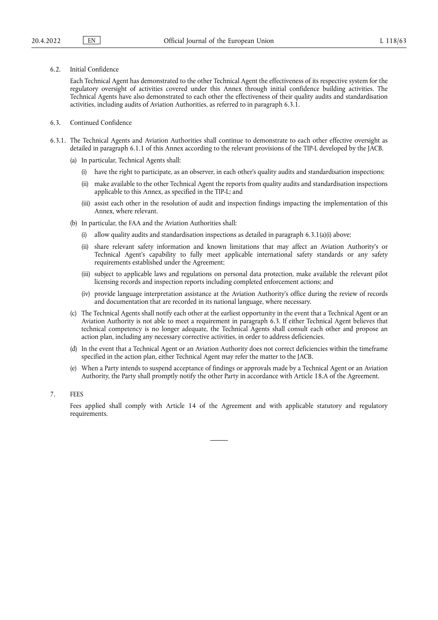6.2. Initial Confidence

Each Technical Agent has demonstrated to the other Technical Agent the effectiveness of its respective system for the regulatory oversight of activities covered under this Annex through initial confidence building activities. The Technical Agents have also demonstrated to each other the effectiveness of their quality audits and standardisation activities, including audits of Aviation Authorities, as referred to in paragraph 6.3.1.

- 6.3. Continued Confidence
- 6.3.1. The Technical Agents and Aviation Authorities shall continue to demonstrate to each other effective oversight as detailed in paragraph 6.1.1 of this Annex according to the relevant provisions of the TIP-L developed by the JACB.
	- (a) In particular, Technical Agents shall:
		- (i) have the right to participate, as an observer, in each other's quality audits and standardisation inspections;
		- (ii) make available to the other Technical Agent the reports from quality audits and standardisation inspections applicable to this Annex, as specified in the TIP-L; and
		- (iii) assist each other in the resolution of audit and inspection findings impacting the implementation of this Annex, where relevant.
	- (b) In particular, the FAA and the Aviation Authorities shall:
		- (i) allow quality audits and standardisation inspections as detailed in paragraph  $6.3.1(a)(i)$  above;
		- (ii) share relevant safety information and known limitations that may affect an Aviation Authority's or Technical Agent's capability to fully meet applicable international safety standards or any safety requirements established under the Agreement;
		- (iii) subject to applicable laws and regulations on personal data protection, make available the relevant pilot licensing records and inspection reports including completed enforcement actions; and
		- (iv) provide language interpretation assistance at the Aviation Authority's office during the review of records and documentation that are recorded in its national language, where necessary.
	- (c) The Technical Agents shall notify each other at the earliest opportunity in the event that a Technical Agent or an Aviation Authority is not able to meet a requirement in paragraph 6.3. If either Technical Agent believes that technical competency is no longer adequate, the Technical Agents shall consult each other and propose an action plan, including any necessary corrective activities, in order to address deficiencies.
	- (d) In the event that a Technical Agent or an Aviation Authority does not correct deficiencies within the timeframe specified in the action plan, either Technical Agent may refer the matter to the JACB.
	- (e) When a Party intends to suspend acceptance of findings or approvals made by a Technical Agent or an Aviation Authority, the Party shall promptly notify the other Party in accordance with Article 18.A of the Agreement.
- 7. FEES

Fees applied shall comply with Article 14 of the Agreement and with applicable statutory and regulatory requirements.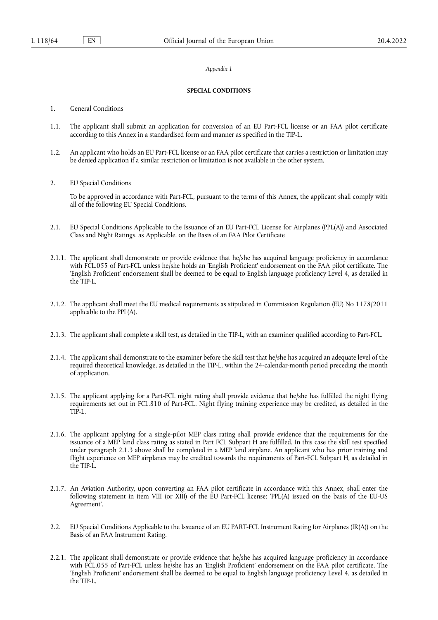#### *Appendix 1*

#### **SPECIAL CONDITIONS**

- 1. General Conditions
- 1.1. The applicant shall submit an application for conversion of an EU Part-FCL license or an FAA pilot certificate according to this Annex in a standardised form and manner as specified in the TIP-L.
- 1.2. An applicant who holds an EU Part-FCL license or an FAA pilot certificate that carries a restriction or limitation may be denied application if a similar restriction or limitation is not available in the other system.
- 2. EU Special Conditions

To be approved in accordance with Part-FCL, pursuant to the terms of this Annex, the applicant shall comply with all of the following EU Special Conditions.

- 2.1. EU Special Conditions Applicable to the Issuance of an EU Part-FCL License for Airplanes (PPL(A)) and Associated Class and Night Ratings, as Applicable, on the Basis of an FAA Pilot Certificate
- 2.1.1. The applicant shall demonstrate or provide evidence that he/she has acquired language proficiency in accordance with FCL.055 of Part-FCL unless he/she holds an 'English Proficient' endorsement on the FAA pilot certificate. The 'English Proficient' endorsement shall be deemed to be equal to English language proficiency Level 4, as detailed in the TIP-L.
- 2.1.2. The applicant shall meet the EU medical requirements as stipulated in Commission Regulation (EU) No 1178/2011 applicable to the PPL(A).
- 2.1.3. The applicant shall complete a skill test, as detailed in the TIP-L, with an examiner qualified according to Part-FCL.
- 2.1.4. The applicant shall demonstrate to the examiner before the skill test that he/she has acquired an adequate level of the required theoretical knowledge, as detailed in the TIP-L, within the 24-calendar-month period preceding the month of application.
- 2.1.5. The applicant applying for a Part-FCL night rating shall provide evidence that he/she has fulfilled the night flying requirements set out in FCL.810 of Part-FCL. Night flying training experience may be credited, as detailed in the TIP-L.
- 2.1.6. The applicant applying for a single-pilot MEP class rating shall provide evidence that the requirements for the issuance of a MEP land class rating as stated in Part FCL Subpart H are fulfilled. In this case the skill test specified under paragraph 2.1.3 above shall be completed in a MEP land airplane. An applicant who has prior training and flight experience on MEP airplanes may be credited towards the requirements of Part-FCL Subpart H, as detailed in the TIP-L.
- 2.1.7. An Aviation Authority, upon converting an FAA pilot certificate in accordance with this Annex, shall enter the following statement in item VIII (or XIII) of the EU Part-FCL license: 'PPL(A) issued on the basis of the EU-US Agreement'.
- 2.2. EU Special Conditions Applicable to the Issuance of an EU PART-FCL Instrument Rating for Airplanes (IR(A)) on the Basis of an FAA Instrument Rating.
- 2.2.1. The applicant shall demonstrate or provide evidence that he/she has acquired language proficiency in accordance with FCL.055 of Part-FCL unless he/she has an 'English Proficient' endorsement on the FAA pilot certificate. The 'English Proficient' endorsement shall be deemed to be equal to English language proficiency Level 4, as detailed in the TIP-L.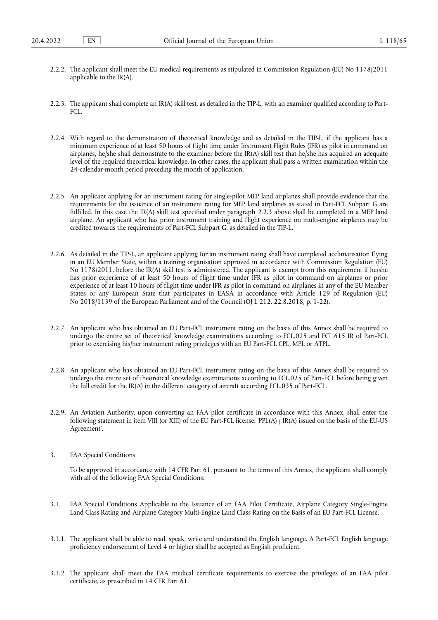- 2.2.2. The applicant shall meet the EU medical requirements as stipulated in Commission Regulation (EU) No 1178/2011 applicable to the IR(A).
- 2.2.3. The applicant shall complete an IR(A) skill test, as detailed in the TIP-L, with an examiner qualified according to Part- $FCI$
- 2.2.4. With regard to the demonstration of theoretical knowledge and as detailed in the TIP-L, if the applicant has a minimum experience of at least 50 hours of flight time under Instrument Flight Rules (IFR) as pilot in command on airplanes, he/she shall demonstrate to the examiner before the IR(A) skill test that he/she has acquired an adequate level of the required theoretical knowledge. In other cases, the applicant shall pass a written examination within the 24-calendar-month period preceding the month of application.
- 2.2.5. An applicant applying for an instrument rating for single-pilot MEP land airplanes shall provide evidence that the requirements for the issuance of an instrument rating for MEP land airplanes as stated in Part-FCL Subpart G are fulfilled. In this case the IR(A) skill test specified under paragraph 2.2.3 above shall be completed in a MEP land airplane. An applicant who has prior instrument training and flight experience on multi-engine airplanes may be credited towards the requirements of Part-FCL Subpart G, as detailed in the TIP-L.
- 2.2.6. As detailed in the TIP-L, an applicant applying for an instrument rating shall have completed acclimatisation flying in an EU Member State, within a training organisation approved in accordance with Commission Regulation (EU) No 1178/2011, before the IR(A) skill test is administered. The applicant is exempt from this requirement if he/she has prior experience of at least 50 hours of flight time under IFR as pilot in command on airplanes or prior experience of at least 10 hours of flight time under IFR as pilot in command on airplanes in any of the EU Member States or any European State that participates in EASA in accordance with Article 129 of Regulation (EU) No 2018/1139 of the European Parliament and of the Council (OJ L 212, 22.8.2018, p. 1-22).
- 2.2.7. An applicant who has obtained an EU Part-FCL instrument rating on the basis of this Annex shall be required to undergo the entire set of theoretical knowledge examinations according to FCL.025 and FCL.615 IR of Part-FCL prior to exercising his/her instrument rating privileges with an EU Part-FCL CPL, MPL or ATPL.
- 2.2.8. An applicant who has obtained an EU Part-FCL instrument rating on the basis of this Annex shall be required to undergo the entire set of theoretical knowledge examinations according to FCL.025 of Part-FCL before being given the full credit for the IR(A) in the different category of aircraft according FCL.035 of Part-FCL.
- 2.2.9. An Aviation Authority, upon converting an FAA pilot certificate in accordance with this Annex, shall enter the following statement in item VIII (or XIII) of the EU Part-FCL license: 'PPL(A) / IR(A) issued on the basis of the EU-US Agreement'.
- 3. FAA Special Conditions

To be approved in accordance with 14 CFR Part 61, pursuant to the terms of this Annex, the applicant shall comply with all of the following FAA Special Conditions:

- 3.1. FAA Special Conditions Applicable to the Issuance of an FAA Pilot Certificate, Airplane Category Single-Engine Land Class Rating and Airplane Category Multi-Engine Land Class Rating on the Basis of an EU Part-FCL License.
- 3.1.1. The applicant shall be able to read, speak, write and understand the English language. A Part-FCL English language proficiency endorsement of Level 4 or higher shall be accepted as English proficient.
- 3.1.2. The applicant shall meet the FAA medical certificate requirements to exercise the privileges of an FAA pilot certificate, as prescribed in 14 CFR Part 61.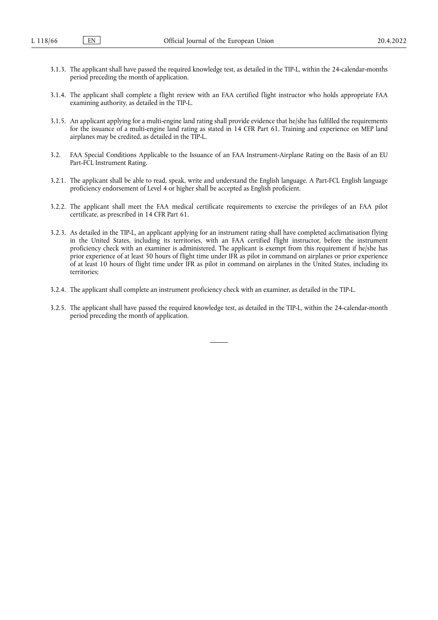- 3.1.3. The applicant shall have passed the required knowledge test, as detailed in the TIP-L, within the 24-calendar-months period preceding the month of application.
- 3.1.4. The applicant shall complete a flight review with an FAA certified flight instructor who holds appropriate FAA examining authority, as detailed in the TIP-L.
- 3.1.5. An applicant applying for a multi-engine land rating shall provide evidence that he/she has fulfilled the requirements for the issuance of a multi-engine land rating as stated in 14 CFR Part 61. Training and experience on MEP land airplanes may be credited, as detailed in the TIP-L.
- 3.2. FAA Special Conditions Applicable to the Issuance of an FAA Instrument-Airplane Rating on the Basis of an EU Part-FCL Instrument Rating.
- 3.2.1. The applicant shall be able to read, speak, write and understand the English language. A Part-FCL English language proficiency endorsement of Level 4 or higher shall be accepted as English proficient.
- 3.2.2. The applicant shall meet the FAA medical certificate requirements to exercise the privileges of an FAA pilot certificate, as prescribed in 14 CFR Part 61.
- 3.2.3. As detailed in the TIP-L, an applicant applying for an instrument rating shall have completed acclimatisation flying in the United States, including its territories, with an FAA certified flight instructor, before the instrument proficiency check with an examiner is administered. The applicant is exempt from this requirement if he/she has prior experience of at least 50 hours of flight time under IFR as pilot in command on airplanes or prior experience of at least 10 hours of flight time under IFR as pilot in command on airplanes in the United States, including its territories;
- 3.2.4. The applicant shall complete an instrument proficiency check with an examiner, as detailed in the TIP-L.
- 3.2.5. The applicant shall have passed the required knowledge test, as detailed in the TIP-L, within the 24-calendar-month period preceding the month of application.